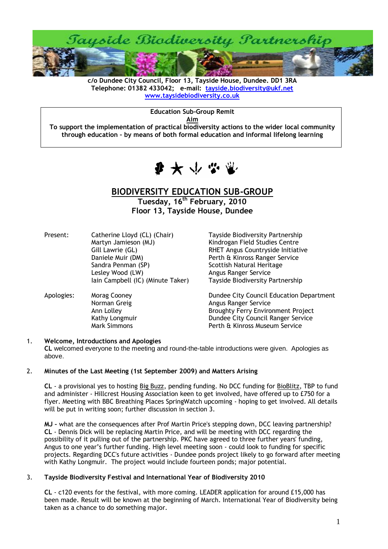

**c/o Dundee City Council, Floor 13, Tayside House, Dundee. DD1 3RA Telephone: 01382 433042; e-mail: [tayside.biodiversity@ukf.net](mailto:tayside.biodiversity@ukf.net)  [www.taysidebiodiversity.co.uk](http://www.taysidebiodiversity.co.uk/)**

**Education Sub-Group Remit**

**Aim**

**To support the implementation of practical biodiversity actions to the wider local community through education – by means of both formal education and informal lifelong learning**



# **BIODIVERSITY EDUCATION SUB-GROUP**

**Tuesday, 16 th February, 2010 Floor 13, Tayside House, Dundee**

| Present:   | Catherine Lloyd (CL) (Chair)<br>Martyn Jamieson (MJ)<br>Gill Lawrie (GL)<br>Daniele Muir (DM)<br>Sandra Penman (SP)<br>Lesley Wood (LW)<br>lain Campbell (IC) (Minute Taker) | <b>Tayside Biodiversity Partnership</b><br>Kindrogan Field Studies Centre<br>RHET Angus Countryside Initiative<br>Perth & Kinross Ranger Service<br>Scottish Natural Heritage<br>Angus Ranger Service<br>Tayside Biodiversity Partnership |
|------------|------------------------------------------------------------------------------------------------------------------------------------------------------------------------------|-------------------------------------------------------------------------------------------------------------------------------------------------------------------------------------------------------------------------------------------|
| Apologies: | Morag Cooney<br>Norman Greig<br>Ann Lolley<br>Kathy Longmuir<br><b>Mark Simmons</b>                                                                                          | Dundee City Council Education Department<br>Angus Ranger Service<br><b>Broughty Ferry Environment Project</b><br>Dundee City Council Ranger Service<br>Perth & Kinross Museum Service                                                     |

## 1. **Welcome, Introductions and Apologies**

**CL** welcomed everyone to the meeting and round-the-table introductions were given. Apologies as above.

## 2. **Minutes of the Last Meeting (1st September 2009) and Matters Arising**

**CL** - a provisional yes to hosting Big Buzz, pending funding. No DCC funding for BioBlitz, TBP to fund and administer - Hillcrest Housing Association keen to get involved, have offered up to £750 for a flyer. Meeting with BBC Breathing Places SpringWatch upcoming - hoping to get involved. All details will be put in writing soon; further discussion in section 3.

**MJ –** what are the consequences after Prof Martin Price's stepping down, DCC leaving partnership? **CL** - Dennis Dick will be replacing Martin Price, and will be meeting with DCC regarding the possibility of it pulling out of the partnership. PKC have agreed to three further years' funding, Angus to one year's further funding. High level meeting soon - could look to funding for specific projects. Regarding DCC's future activities - Dundee ponds project likely to go forward after meeting with Kathy Longmuir. The project would include fourteen ponds; major potential.

## 3. **Tayside Biodiversity Festival and International Year of Biodiversity 2010**

**CL** - c120 events for the festival, with more coming. LEADER application for around £15,000 has been made. Result will be known at the beginning of March. International Year of Biodiversity being taken as a chance to do something major.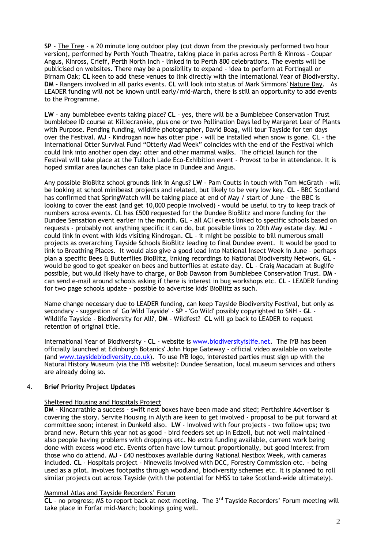**SP** - The Tree - a 20 minute long outdoor play (cut down from the previously performed two hour version), performed by Perth Youth Theatre, taking place in parks across Perth & Kinross - Coupar Angus, Kinross, Crieff, Perth North Inch - linked in to Perth 800 celebrations. The events will be publicised on websites. There may be a possibility to expand - idea to perform at Fortingall or Birnam Oak; **CL** keen to add these venues to link directly with the International Year of Biodiversity. **DM -** Rangers involved in all parks events. **CL** will look into status of Mark Simmons' Nature Day. As LEADER funding will not be known until early/mid-March, there is still an opportunity to add events to the Programme.

**LW** - any bumblebee events taking place? **CL** – yes, there will be a Bumblebee Conservation Trust bumblebee ID course at Killiecrankie, plus one or two Pollination Days led by Margaret Lear of Plants with Purpose. Pending funding, wildlife photographer, David Boag, will tour Tayside for ten days over the Festival. **MJ** - Kindrogan now has otter pipe - will be installed when snow is gone. **CL** – the International Otter Survival Fund "Otterly Mad Week" coincides with the end of the Festival which could link into another open day: otter and other mammal walks. The official launch for the Festival will take place at the Tulloch Lade Eco-Exhibition event - Provost to be in attendance. It is hoped similar area launches can take place in Dundee and Angus.

Any possible BioBlitz school grounds link in Angus? **LW** - Pam Coutts in touch with Tom McGrath - will be looking at school minibeast projects and related, but likely to be very low key. **CL** - BBC Scotland has confirmed that SpringWatch will be taking place at end of May / start of June – the BBC is looking to cover the east (and get 10,000 people involved) - would be useful to try to keep track of numbers across events. CL has £500 requested for the Dundee BioBlitz and more funding for the Dundee Sensation event earlier in the month. **GL** - all ACI events linked to specific schools based on requests - probably not anything specific it can do, but possible links to 20th May estate day. **MJ** could link in event with kids visiting Kindrogan. **CL** – it might be possible to bill numerous small projects as overarching Tayside Schools BioBlitz leading to final Dundee event. It would be good to link to Breathing Places. It would also give a good lead into National Insect Week in June – perhaps plan a specific Bees & Butterflies BioBlitz, linking recordings to National Biodiversity Network. **GL** would be good to get speaker on bees and butterflies at estate day. **CL** - Craig Macadam at Buglife possible, but would likely have to charge, or Bob Dawson from Bumblebee Conservation Trust. **DM** can send e-mail around schools asking if there is interest in bug workshops etc. **CL** - LEADER funding for two page schools update - possible to advertise kids' BioBlitz as such.

Name change necessary due to LEADER funding, can keep Tayside Biodiversity Festival, but only as secondary - suggestion of 'Go Wild Tayside' - **SP** - 'Go Wild' possibly copyrighted to SNH - **GL** - Wildlife Tayside - Biodiversity for All?, **DM** - Wildfest? **CL** will go back to LEADER to request retention of original title.

International Year of Biodiversity - **CL** - website i[s www.biodiversityislife.net.](http://www.biodiversityislife.net/) The IYB has been officially launched at Edinburgh Botanics' John Hope Gateway - official video available on website (and [www.taysidebiodiversity.co.uk\)](http://www.taysidebiodiversity.co.uk/). To use IYB logo, interested parties must sign up with the Natural History Museum (via the IYB website): Dundee Sensation, local museum services and others are already doing so.

## 4. **Brief Priority Project Updates**

## Sheltered Housing and Hospitals Project

**DM** - Kincarrathie a success - swift nest boxes have been made and sited; Perthshire Advertiser is covering the story. Servite Housing in Alyth are keen to get involved - proposal to be put forward at committee soon; interest in Dunkeld also. **LW** - involved with four projects - two follow ups; two brand new. Return this year not as good - bird feeders set up in Edzell, but not well maintained also people having problems with droppings etc. No extra funding available, current work being done with excess wood etc. Events often have low turnout proportionally, but good interest from those who do attend. **MJ** - £40 nestboxes available during National Nestbox Week, with cameras included. **CL** - Hospitals project - Ninewells involved with DCC, Forestry Commission etc. - being used as a pilot. Involves footpaths through woodland, biodiversity schemes etc. It is planned to roll similar projects out across Tayside (with the potential for NHSS to take Scotland-wide ultimately).

## Mammal Atlas and Tayside Recorders' Forum

**CL** - no progress; MS to report back at next meeting. The 3rd Tayside Recorders' Forum meeting will take place in Forfar mid-March; bookings going well.